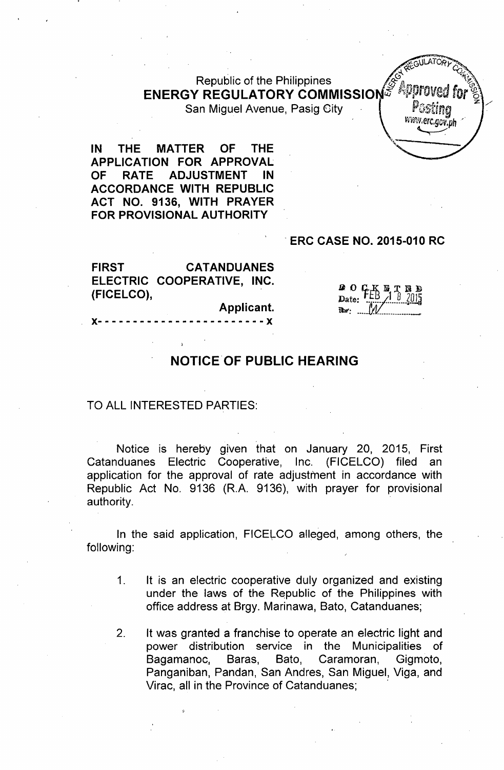# Republic of the Philippines *!!'5\:Jia.., <sup>~</sup>'~~"* ENERGY REGULATORY COMMISSION&<sup>, approved</sup> for  $\%$

San Miguel Avenue, Pasig City

**MGULATORLY** ... accumumy 2 *~ '"'(j", , vrt~'\~J.erc.gcv.ph/* , where the contract of  $\mathcal{N}$  and  $\mathcal{N}$ ,'..-

IN THE MATTER OF THE APPLICATION FOR APPROVAL OF RATE ADJUSTMENT IN ACCORDANCE WITH REPUBLIC ACT NO. 9136, WITH PRAYER FOR PROVISIONAL AUTHORITY

### , ERC CASE NO. 2015-010 RC

FIRST CATANDUANES ELECTRIC COOPERATIVE, INC. (FICELCO),

Applicant.

**a** 0 K<br>Date:  $\sum_{\text{Date:}}$  . FEB  $\frac{1}{3}$  .  $\frac{1}{2015}$ 

**)(- .- - - - - - - - - - .- - ..- - - .- - - )(**

### NOTICE'OF PUBLIC HEARING

#### TO ALL INTERESTED PARTIES:

Notice is hereby given that on January 20, 2015, First Catanduanes Electric Cooperative, Inc. (FICELCO) filed an application for the approval of rate adjustment in accordance with Republic Act No. 9136 (R.A. 9136), with prayer for provisional authority.

In the said application, FICELCO alleged, among others, the following:

- 1. It is an electric cooperative duly organized and existing under the laws of the Republic of the Philippines with office address at Brgy. Marinawa, Bato, Catanduanes;
- 2. It was granted a franchise to operate an electric light and power distribution service in the Municipalities of Bagamanoc., Baras, Bato, Caramoran, Gigmoto, Panganiban, Pandan, San Andres, San Miguel, Viga, and Virac, all in the Province of Catanduanes;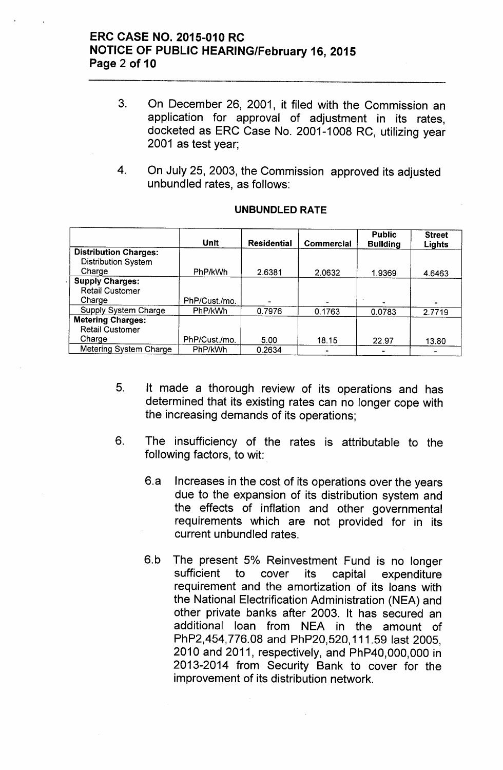### **ERC CASE NO. 2015-010 RC NOTICE OF PUBLIC HEARING/February 16, 2015 Page 2 of 10**

- 3. On December 26, 2001, it filed with the Commission an application for approval of adjustment in its rates, docketed as ERC Case No. 2001-1008 RC, utilizing year 2001 as test year;
- 4. On July 25, 2003, the Commission approved its adjusted unbundled rates, as follows:

|                              | Unit          | <b>Residential</b> | <b>Commercial</b> | <b>Public</b><br><b>Building</b> | <b>Street</b><br>Lights |
|------------------------------|---------------|--------------------|-------------------|----------------------------------|-------------------------|
| <b>Distribution Charges:</b> |               |                    |                   |                                  |                         |
| <b>Distribution System</b>   |               |                    |                   |                                  |                         |
| Charge                       | PhP/kWh       | 2.6381             | 2.0632            | 1.9369                           | 4.6463                  |
| <b>Supply Charges:</b>       |               |                    |                   |                                  |                         |
| <b>Retail Customer</b>       |               |                    |                   |                                  |                         |
| Charge                       | PhP/Cust./mo. |                    |                   |                                  |                         |
| <b>Supply System Charge</b>  | PhP/kWh       | 0.7976             | 0.1763            | 0.0783                           | 2.7719                  |
| <b>Metering Charges:</b>     |               |                    |                   |                                  |                         |
| <b>Retail Customer</b>       |               |                    |                   |                                  |                         |
| Charge                       | PhP/Cust./mo. | 5.00               | 18.15             | 22.97                            | 13.80                   |
| Metering System Charge       | PhP/kWh       | 0.2634             |                   |                                  |                         |

#### **UNBUNDLED RATE**

- 5. It made a thorough review of its operations and has determined that its existing rates can no longer cope with the increasing demands of its operations;
- 6. The insufficiency of the rates is attributable to the following factors, to wit:
	- 6.a Increases in the cost of its operations over the years due to the expansion of its distribution system and the effects of inflation and other governmental requirements which are not provided for in its current unbundled rates.
	- 6.b The present 5% Reinvestment Fund is no longer sufficient to cover its capital expenditure requirement and the amortization of its loans with the National Electrification Administration (NEA) and other private banks after 2003. It has secured an additional loan from NEA in the amount of PhP2,454,776.0B and PhP20,520,111.59 last 2005, 2010 and 2011, respectively, and PhP40,OOO,OOOin 2013-2014 from Security Bank to cover for the improvement of its distribution network.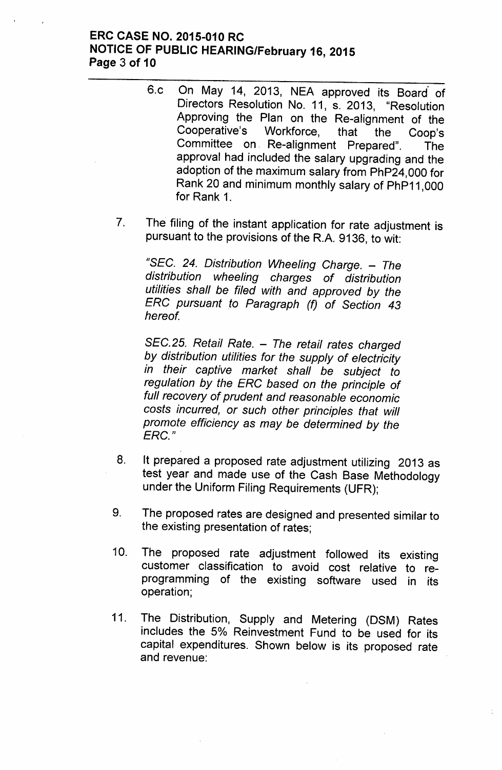### **ERC CASE NO. 2015-010 RC NOTICE OF PUBLIC HEARING/February 16, 2015 Page 3 of 10**

- 6.c On May 14, 2013, NEA approved its Board of Directors Resolution No. 11, s. 2013, "Resolution Approving the Plan on the Re-alignment of the Cooperative's Workforce, that the Coop's Committee on. Re-alignment Prepared". The approval had included the salary upgrading and the adoption of the maximum salary from PhP24,000 for Rank 20 and minimum monthly salary of PhP11 ,000 for Rank 1.
- 7. The filing of the instant application for rate adjustment is pursuant to the provisions of the R.A. 9136, to wit:

*"SEC.* 24. *Distribution Wheeling Charge. - The distribution wheeling charges of distribution utilities shall be filed with and approved by the ERC pursuant to Paragraph (f) of Section 43 hereof*

*SEC.* 25. *Retail Rate. - The retail rates charged by distribution utilities for the supply of electricity in their captive market shall be subject to regulation by the ERC based on the principle of full recovery of prudent and reasonable economic costs incurred, or such other principles that will promote efficiency as may be determined by the ERC."*

- 8. It prepared a proposed rate adjustment utilizing 2013 as test year and made use of the Cash Base Methodology under the Uniform Filing Requirements (UFR);
- 9. The proposed rates are designed and presented similar to the existing presentation of rates;
- 10. The proposed rate adjustment followed its existing customer classification to avoid cost relative to reprogramming of the existing software used in its operation;
- 11. The Distribution, Supply and Metering (DSM) Rates includes the 5% Reinvestment Fund to be used for its capital expenditures. Shown below is its proposed rate and revenue: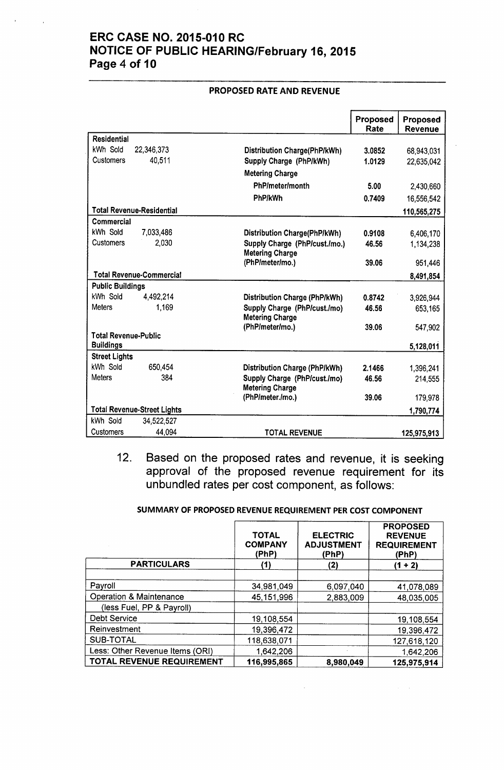## ERC CASE NO. 2015-010 RC NOTICE OF PUBLIC HEARING/February 16, 2015 Page 4 of 10

|                             |                                    |                                                        | Proposed<br>Rate | <b>Proposed</b><br>Revenue |
|-----------------------------|------------------------------------|--------------------------------------------------------|------------------|----------------------------|
| <b>Residential</b>          |                                    |                                                        |                  |                            |
| kWh Sold                    | 22,346,373                         | Distribution Charge(PhP/kWh)                           | 3.0852           | 68,943,031                 |
| <b>Customers</b>            | 40,511                             | Supply Charge (PhP/kWh)                                | 1.0129           | 22,635,042                 |
|                             |                                    | <b>Metering Charge</b>                                 |                  |                            |
|                             |                                    | PhP/meter/month                                        | 5.00             | 2,430,660                  |
|                             |                                    | <b>PhP/kWh</b>                                         | 0.7409           | 16,556,542                 |
|                             | <b>Total Revenue-Residential</b>   |                                                        |                  | 110,565,275                |
| Commercial                  |                                    |                                                        |                  |                            |
| kWh Sold                    | 7,033,486                          | Distribution Charge(PhP/kWh)                           | 0.9108           | 6,406,170                  |
| <b>Customers</b>            | 2,030                              | Supply Charge (PhP/cust./mo.)                          | 46.56            | 1,134,238                  |
|                             |                                    | <b>Metering Charge</b>                                 |                  |                            |
|                             |                                    | (PhP/meter/mo.)                                        | 39.06            | 951,446                    |
|                             | <b>Total Revenue-Commercial</b>    |                                                        |                  | 8,491,854                  |
| <b>Public Buildings</b>     |                                    |                                                        |                  |                            |
| kWh Sold                    | 4,492,214                          | <b>Distribution Charge (PhP/kWh)</b>                   | 0.8742           | 3,926,944                  |
| <b>Meters</b>               | 1,169                              | Supply Charge (PhP/cust./mo)<br><b>Metering Charge</b> | 46.56            | 653,165                    |
|                             |                                    | (PhP/meter/mo.)                                        | 39.06            | 547,902                    |
| <b>Total Revenue-Public</b> |                                    |                                                        |                  |                            |
| <b>Buildings</b>            |                                    |                                                        |                  | 5,128,011                  |
| <b>Street Lights</b>        |                                    |                                                        |                  |                            |
| kWh Sold                    | 650,454                            | Distribution Charge (PhP/kWh)                          | 2.1466           | 1,396,241                  |
| <b>Meters</b>               | 384                                | Supply Charge (PhP/cust./mo)<br><b>Metering Charge</b> | 46.56            | 214,555                    |
|                             |                                    | (PhP/meter./mo.)                                       | 39.06            | 179,978                    |
|                             | <b>Total Revenue-Street Lights</b> |                                                        |                  | 1,790,774                  |
| kWh Sold                    | 34.522.527                         |                                                        |                  |                            |
| Customers                   | 44,094                             | <b>TOTAL REVENUE</b>                                   |                  | 125,975,913                |

#### PROPOSED RATE AND REVENUE

12. Based on the proposed rates and revenue, it is seeking approval of the proposed revenue requirement for its unbundled rates per cost component, as follows:

#### SUMMARY OF PROPOSED REVENUE REQUIREMENT PER COST COMPONENT

|                                    | <b>TOTAL</b><br><b>COMPANY</b><br>(PhP) | <b>ELECTRIC</b><br><b>ADJUSTMENT</b><br>(PhP) | <b>PROPOSED</b><br><b>REVENUE</b><br><b>REQUIREMENT</b><br>(PhP) |
|------------------------------------|-----------------------------------------|-----------------------------------------------|------------------------------------------------------------------|
| <b>PARTICULARS</b>                 | (1)                                     | (2)                                           | $(1 + 2)$                                                        |
|                                    |                                         |                                               |                                                                  |
| Payroll                            | 34,981,049                              | 6,097,040                                     | 41,078,089                                                       |
| <b>Operation &amp; Maintenance</b> | 45,151,996                              | 2,883,009                                     | 48,035,005                                                       |
| (less Fuel, PP & Payroll)          |                                         |                                               |                                                                  |
| Debt Service                       | 19,108,554                              |                                               | 19,108,554                                                       |
| Reinvestment                       | 19,396,472                              |                                               | 19,396,472                                                       |
| <b>SUB-TOTAL</b>                   | 118,638,071                             |                                               | 127,618,120                                                      |
| Less: Other Revenue Items (ORI)    | 1,642,206                               |                                               | 1,642,206                                                        |
| TOTAL REVENUE REQUIREMENT          | 116,995,865                             | 8,980,049                                     | 125,975,914                                                      |

 $\mathcal{L}^{\pm}$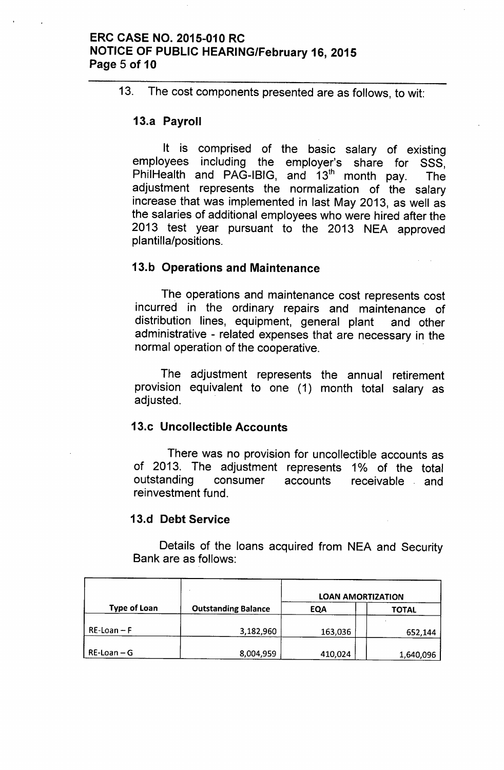### ERC CASE NO. 2015-010 RC NOTICE OF PUBLIC HEARING/February 16, 2015 Page 5 of 10

13. The cost components presented are as follows, to wit:

### 13.a Payroll

It is comprised of the basic salary of existing employees including the employer's share for SSS, PhilHealth and PAG-IBIG, and  $13<sup>th</sup>$  month pay. The adjustment represents the normalization of the salary increase that was implemented in last May 2013, as well as the salaries of additional employees who were hired after the 2013 test year pursuant to the 2013 NEA approved plantilla/positions.

#### 13.b Operations and Maintenance

The operations and maintenance cost represents cost incurred in the ordinary repairs and maintenance of distribution lines, equipment, general plant and other administrative - related expenses that are necessary in the normal operation of the cooperative.

The adjustment represents the annual retirement provision equivalent to one (1) month total salary as adjusted.

### 13.c Uncollectible Accounts

There was no provision for uncollectible accounts as of 2013. The adjustment represents 1% of the total outstanding consumer accounts receivable and reinvestment fund.

#### 13.d Debt Service

Details of the loans acquired from NEA and Security Bank are as follows:

|                     |                            | <b>LOAN AMORTIZATION</b> |              |  |
|---------------------|----------------------------|--------------------------|--------------|--|
| <b>Type of Loan</b> | <b>Outstanding Balance</b> | <b>EQA</b>               | <b>TOTAL</b> |  |
| $RE$ -Loan – F      | 3,182,960                  | 163,036                  | 652,144      |  |
| $RE$ -Loan – G      | 8,004,959                  | 410,024                  | 1,640,096    |  |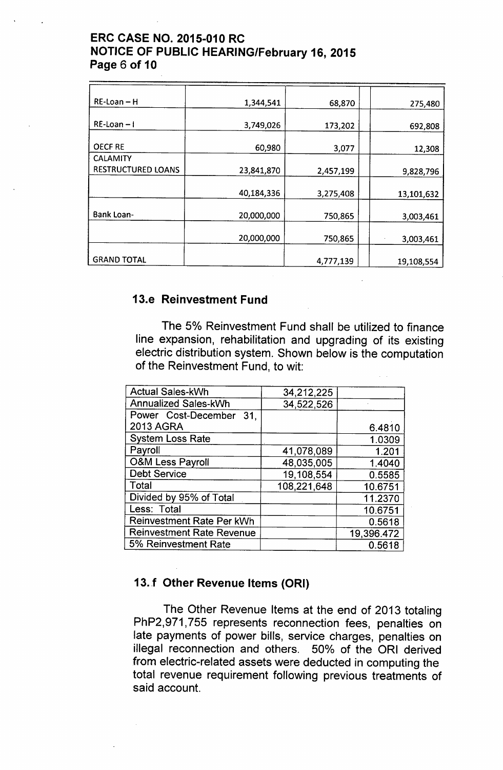## ERC CASE NO. 2015-010 RC NOTICE OF PUBLIC HEARING/February 16, 2015 Page 6 of 10

| $RE$ -Loan – H                               | 1,344,541  | 68,870    | 275,480    |
|----------------------------------------------|------------|-----------|------------|
| $RE$ -Loan $-1$                              | 3,749,026  | 173,202   | 692,808    |
| <b>OECF RE</b>                               | 60,980     | 3,077     | 12,308     |
| <b>CALAMITY</b><br><b>RESTRUCTURED LOANS</b> | 23,841,870 | 2,457,199 | 9,828,796  |
|                                              | 40,184,336 | 3,275,408 | 13,101,632 |
| <b>Bank Loan-</b>                            | 20,000,000 | 750,865   | 3,003,461  |
|                                              | 20,000,000 | 750,865   | 3,003,461  |
| <b>GRAND TOTAL</b>                           |            | 4,777,139 | 19,108,554 |

## 13.e Reinvestment Fund

The 5% Reinvestment Fund shall be utilized to finance line expansion, rehabilitation and upgrading of its existing electric distribution system. Shown below is the computation of the Reinvestment Fund, to wit:

| <b>Actual Sales-kWh</b>          | 34,212,225  |            |
|----------------------------------|-------------|------------|
|                                  |             |            |
| <b>Annualized Sales-kWh</b>      | 34,522,526  |            |
| Power Cost-December 31,          |             |            |
| <b>2013 AGRA</b>                 |             | 6.4810     |
| <b>System Loss Rate</b>          |             | 1.0309     |
| Payroll                          | 41,078,089  | 1.201      |
| <b>O&amp;M Less Payroll</b>      | 48,035,005  | 1.4040     |
| <b>Debt Service</b>              | 19,108,554  | 0.5585     |
| Total                            | 108,221,648 | 10.6751    |
| Divided by 95% of Total          |             | 11.2370    |
| Less: Total                      |             | 10.6751    |
| Reinvestment Rate Per kWh        |             | 0.5618     |
| <b>Reinvestment Rate Revenue</b> |             | 19,396.472 |
| 5% Reinvestment Rate             |             | 0.5618     |

## 13.f Other Revenue Items (ORI)

The Other Revenue Items at the end of 2013 totaling PhP2,971,755 represents reconnection fees, penalties on late payments of power bills, service charges, penalties on illegal reconnection and others. 50% of the ORI derived from electric-related assets were deducted in computing the total revenue requirement following previous treatments of said account.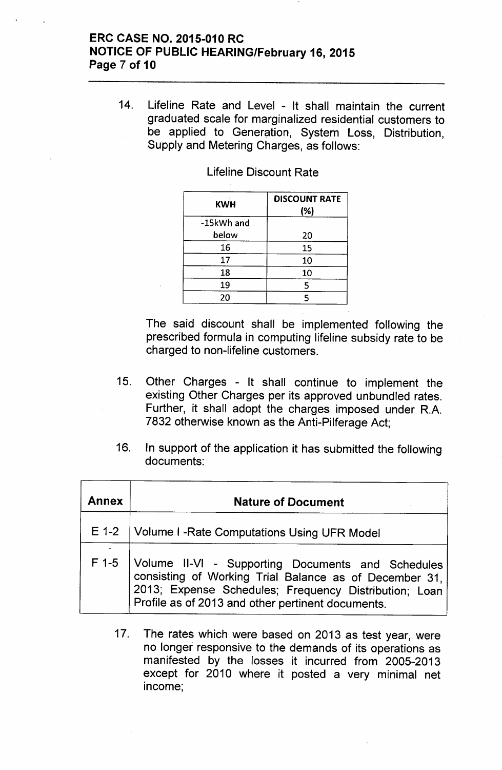### ERC CASE NO. 2015-010 RC NOTICE OF PUBLIC HEARING/February 16, 2015 Page 7 of 10

14. Lifeline Rate and Level - It shall maintain the current graduated scale for marginalized residential customers to be applied to Generation, System Loss, Distribution, Supply and Metering Charges, as follows:

| <b>KWH</b> | <b>DISCOUNT RATE</b><br>(%) |
|------------|-----------------------------|
| -15kWh and |                             |
| below      | 20                          |
| 16         | 15                          |
| 17         | 10                          |
| 18         | 10                          |
| 19         | 5                           |
| 20         |                             |

Lifeline Discount Rate

The said discount shall be implemented following the prescribed formula in computing lifeline subsidy rate to be charged to non-lifeline customers.

- 15. Other Charges It shall continue to implement the existing Other Charges per its approved unbundled rates. Further, it shall adopt the charges imposed under R.A. 7832 otherwise known as the Anti-Pilferage Act;
- 16. In support of the application it has submitted the following documents:

| <b>Annex</b> | <b>Nature of Document</b>                                                                                                                                                                                                 |
|--------------|---------------------------------------------------------------------------------------------------------------------------------------------------------------------------------------------------------------------------|
| $E$ 1-2      | <b>Volume I - Rate Computations Using UFR Model</b>                                                                                                                                                                       |
| $F$ 1-5      | Volume II-VI - Supporting Documents and Schedules<br>consisting of Working Trial Balance as of December 31,<br>2013; Expense Schedules; Frequency Distribution; Loan<br>Profile as of 2013 and other pertinent documents. |

17. The rates which were based on 2013 as test year, were no longer responsive to the demands of its operations as manifested by the losses it incurred from 2005-2013 except for 2010 where it posted a very minimal net income;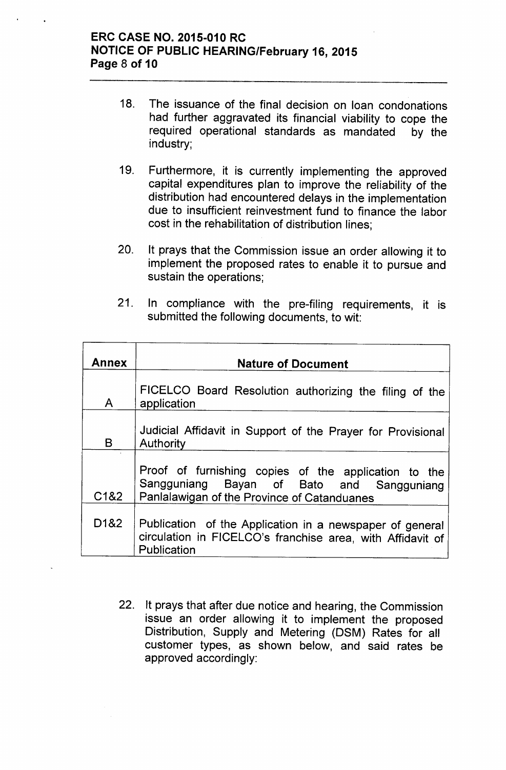### **ERC CASE NO. 2015-010 RC NOTICE OF PUBLIC HEARING/February 16, 2015 Page 8 of 10**

- 18. The issuance of the final decision on loan condonations had further aggravated its financial viability to cope the required operational standards as mandated by the industry;
- 19. Furthermore, it is currently implementing the approved capital expenditures plan to improve the reliability of the distribution had encountered delays in the implementation due to insufficient reinvestment fund to finance the labor cost in the rehabilitation of distribution lines;
- 20. It prays that the Commission issue an order allowing it to implement the proposed rates to enable it to pursue and sustain the operations;
- 21. In compliance with the pre-filing requirements, it is submitted the following documents, to wit:

| <b>Annex</b>      | <b>Nature of Document</b>                                                                                                                        |
|-------------------|--------------------------------------------------------------------------------------------------------------------------------------------------|
| $\mathsf{A}$      | FICELCO Board Resolution authorizing the filing of the<br>application                                                                            |
| B.                | Judicial Affidavit in Support of the Prayer for Provisional<br>Authority                                                                         |
| C1&2              | Proof of furnishing copies of the application to the<br>Sangguniang Bayan of Bato and Sangguniang<br>Panlalawigan of the Province of Catanduanes |
| D <sub>1</sub> &2 | Publication of the Application in a newspaper of general<br>circulation in FICELCO's franchise area, with Affidavit of<br>Publication            |

22. It prays that after due notice and hearing, the Commission issue an order allowing it to implement the proposed Distribution, Supply and Metering (DSM) Rates for all customer types, as shown below, and said rates be approved accordingly: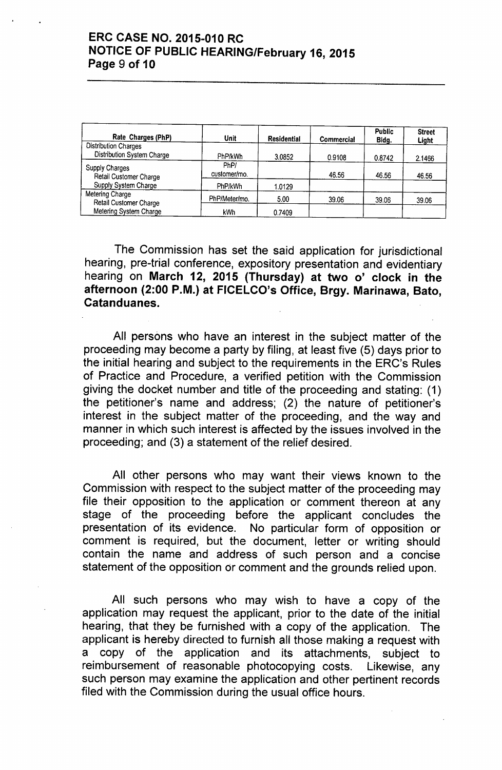### **ERC CASE NO. 2015-010 RC NOTICE OF PUBLIC HEARING/February 16, 2015 Page 9 of 10**

| Rate Charges (PhP)                                               | Unit                 | Residential | Commercial | <b>Public</b><br>Bidg. | <b>Street</b><br>Light |
|------------------------------------------------------------------|----------------------|-------------|------------|------------------------|------------------------|
| <b>Distribution Charges</b><br>Distribution System Charge        | PhP/kWh              | 3.0852      | 0.9108     | 0.8742                 | 2.1466                 |
| Supply Charges<br>Retail Customer Charge<br>Supply System Charge | PhP/<br>customer/mo. |             | 46.56      | 46.56                  | 46.56                  |
|                                                                  | PhP/kWh              | 1.0129      |            |                        |                        |
| Metering Charge<br>Retail Customer Charge                        | PhP/Meter/mo.        | 5.00        | 39.06      | 39.06                  | 39.06                  |
| Metering System Charge                                           | <b>kWh</b>           | 0.7409      |            |                        |                        |

The Commission has set the said application for jurisdictional hearing, pre-trial conference, expository presentation and evidentiary hearing on **March 12, 2015 (Thursday) at two 0' clock in the afternoon (2:00 P.M.) at FICELCO's Office, Brgy. Marinawa, Bato, Catanduanes.**

All persons who have an interest in the subject matter of the proceeding may become a party by filing, at least five (5) days prior to the initial hearing and subject to the requirements in the ERC's Rules of Practice and Procedure, a verified petition with the Commission giving the docket number and title of the proceeding and stating: (1) the petitioner's name and address; (2) the nature of petitioner's interest in the subject matter of the proceeding, and the way and manner in which such interest is affected by the issues involved in the proceeding; and (3) a statement of the relief desired.

All other persons who may want their views known to the Commission with respect to the subject matter of the proceeding may file their opposition to the application or comment thereon at any stage of the proceeding before the applicant concludes the presentation of its evidence. No particular form of opposition or comment is required, but the document, letter or writing should contain the name and address of such person and a concise statement of the opposition or comment and the grounds relied upon.

All such persons who may wish to have a copy of the application may request the applicant, prior to the date of the initial hearing, that they be furnished with a copy of the application. The applicant is hereby directed to furnish all those making a request with a copy of the application and its attachments, subject to reimbursement of reasonable photocopying costs. Likewise, any such person may examine the application and other pertinent records filed with the Commission during the usual office hours.